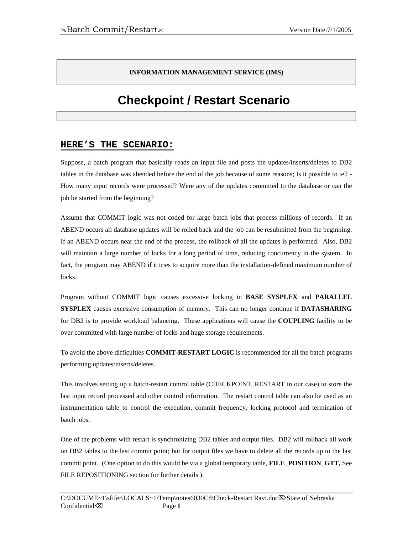#### **INFORMATION MANAGEMENT SERVICE (IMS)**

# **Checkpoint / Restart Scenario**

#### **HERE'S THE SCENARIO:**

Suppose, a batch program that basically reads an input file and posts the updates/inserts/deletes to DB2 tables in the database was abended before the end of the job because of some reasons; Is it possible to tell - How many input records were processed? Were any of the updates committed to the database or can the job be started from the beginning?

Assume that COMMIT logic was not coded for large batch jobs that process millions of records. If an ABEND occurs all database updates will be rolled back and the job can be resubmitted from the beginning. If an ABEND occurs near the end of the process, the rollback of all the updates is performed. Also, DB2 will maintain a large number of locks for a long period of time, reducing concurrency in the system. In fact, the program may ABEND if it tries to acquire more than the installation-defined maximum number of locks.

Program without COMMIT logic causes excessive locking in **BASE SYSPLEX** and **PARALLEL SYSPLEX** causes excessive consumption of memory. This can no longer continue if **DATASHARING**  for DB2 is to provide workload balancing. These applications will cause the **COUPLING** facility to be over committed with large number of locks and huge storage requirements.

To avoid the above difficulties **COMMIT-RESTART LOGIC** is recommended for all the batch programs performing updates/inserts/deletes.

This involves setting up a batch-restart control table (CHECKPOINT\_RESTART in our case) to store the last input record processed and other control information. The restart control table can also be used as an instrumentation table to control the execution, commit frequency, locking protocol and termination of batch jobs.

One of the problems with restart is synchronizing DB2 tables and output files. DB2 will rollback all work on DB2 tables to the last commit point; but for output files we have to delete all the records up to the last commit point. (One option to do this would be via a global temporary table, **FILE\_POSITION\_GTT,** See FILE REPOSITIONING section for further details.).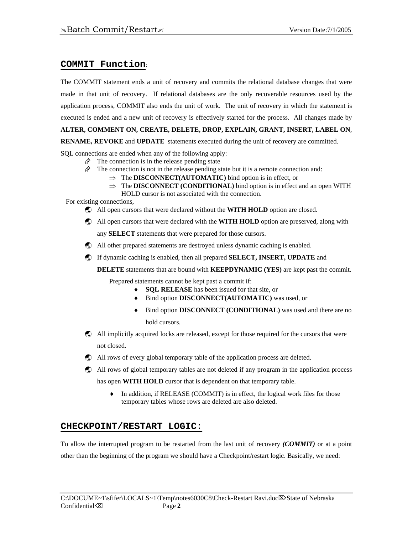### **COMMIT Function**:

The COMMIT statement ends a unit of recovery and commits the relational database changes that were made in that unit of recovery. If relational databases are the only recoverable resources used by the application process, COMMIT also ends the unit of work. The unit of recovery in which the statement is executed is ended and a new unit of recovery is effectively started for the process. All changes made by **ALTER, COMMENT ON, CREATE, DELETE, DROP, EXPLAIN, GRANT, INSERT, LABEL ON**,

**RENAME, REVOKE** and **UPDATE** statements executed during the unit of recovery are committed.

SQL connections are ended when any of the following apply:

- $\hat{\varphi}$  The connection is in the release pending state
	- $\hat{\varphi}$  The connection is not in the release pending state but it is a remote connection and:
		- ⇒ The **DISCONNECT(AUTOMATIC)** bind option is in effect, or
		- ⇒ The **DISCONNECT (CONDITIONAL)** bind option is in effect and an open WITH HOLD cursor is not associated with the connection.

For existing connections,

- **C** All open cursors that were declared without the **WITH HOLD** option are closed.
- ß All open cursors that were declared with the **WITH HOLD** option are preserved, along with any **SELECT** statements that were prepared for those cursors.
- ß All other prepared statements are destroyed unless dynamic caching is enabled.
- ß If dynamic caching is enabled, then all prepared **SELECT, INSERT, UPDATE** and

**DELETE** statements that are bound with **KEEPDYNAMIC (YES)** are kept past the commit.

Prepared statements cannot be kept past a commit if:

- **SQL RELEASE** has been issued for that site, or
- ♦ Bind option **DISCONNECT(AUTOMATIC)** was used, or
- ♦ Bind option **DISCONNECT (CONDITIONAL)** was used and there are no hold cursors.
- ß All implicitly acquired locks are released, except for those required for the cursors that were not closed.
- ß All rows of every global temporary table of the application process are deleted.
- ß All rows of global temporary tables are not deleted if any program in the application process
	- has open **WITH HOLD** cursor that is dependent on that temporary table.
		- ♦ In addition, if RELEASE (COMMIT) is in effect, the logical work files for those temporary tables whose rows are deleted are also deleted.

#### **CHECKPOINT/RESTART LOGIC:**

To allow the interrupted program to be restarted from the last unit of recovery *(COMMIT)* or at a point other than the beginning of the program we should have a Checkpoint/restart logic. Basically, we need: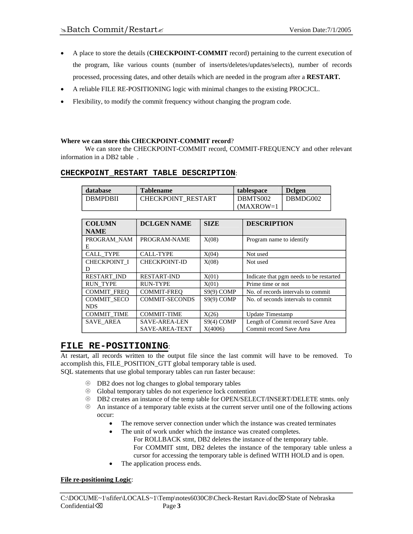- A place to store the details (**CHECKPOINT-COMMIT** record) pertaining to the current execution of the program, like various counts (number of inserts/deletes/updates/selects), number of records processed, processing dates, and other details which are needed in the program after a **RESTART.**
- A reliable FILE RE-POSITIONING logic with minimal changes to the existing PROCJCL.
- Flexibility, to modify the commit frequency without changing the program code.

#### **Where we can store this CHECKPOINT-COMMIT record**?

We can store the CHECKPOINT-COMMIT record, COMMIT-FREQUENCY and other relevant information in a DB2 table .

| database | Tablename | tablespace | Dclgen

| <b>DBMPDBII</b>     | CHECKPOINT_RESTART    |              | DBMTS002                | DBMDG002                                |  |
|---------------------|-----------------------|--------------|-------------------------|-----------------------------------------|--|
|                     |                       |              | $MAXROW=1$              |                                         |  |
|                     |                       |              |                         |                                         |  |
| <b>COLUMN</b>       | <b>DCLGEN NAME</b>    | <b>SIZE</b>  | <b>DESCRIPTION</b>      |                                         |  |
| <b>NAME</b>         |                       |              |                         |                                         |  |
| PROGRAM NAM         | PROGRAM-NAME          | X(08)        |                         | Program name to identify                |  |
| E                   |                       |              |                         |                                         |  |
| <b>CALL TYPE</b>    | CALL-TYPE             | X(04)        | Not used                |                                         |  |
| <b>CHECKPOINT I</b> | <b>CHECKPOINT-ID</b>  | X(08)        | Not used                |                                         |  |
| D                   |                       |              |                         |                                         |  |
| <b>RESTART IND</b>  | <b>RESTART-IND</b>    | X(01)        |                         | Indicate that pgm needs to be restarted |  |
| <b>RUN TYPE</b>     | RUN-TYPE              | X(01)        |                         | Prime time or not                       |  |
| <b>COMMIT FREO</b>  | <b>COMMIT-FREO</b>    | S9(9) COMP   |                         | No. of records intervals to commit.     |  |
| <b>COMMIT SECO</b>  | <b>COMMIT-SECONDS</b> | $S9(9)$ COMP |                         | No. of seconds intervals to commit.     |  |
| <b>NDS</b>          |                       |              |                         |                                         |  |
| <b>COMMIT TIME</b>  | <b>COMMIT-TIME</b>    | X(26)        |                         | <b>Update Timestamp</b>                 |  |
| <b>SAVE AREA</b>    | <b>SAVE-AREA-LEN</b>  | S9(4) COMP   |                         | Length of Commit record Save Area       |  |
|                     | <b>SAVE-AREA-TEXT</b> | X(4006)      | Commit record Save Area |                                         |  |

#### **CHECKPOINT\_RESTART TABLE DESCRIPTION**:

#### **FILE RE-POSITIONING**:

At restart, all records written to the output file since the last commit will have to be removed. To accomplish this, FILE\_POSITION\_GTT global temporary table is used. SQL statements that use global temporary tables can run faster because:

- $\circledast$  DB2 does not log changes to global temporary tables
- $\circledast$  Global temporary tables do not experience lock contention
- U DB2 creates an instance of the temp table for OPEN/SELECT/INSERT/DELETE stmts. only
- $\otimes$  An instance of a temporary table exists at the current server until one of the following actions occur:
	- The remove server connection under which the instance was created terminates
		- The unit of work under which the instance was created completes. For ROLLBACK stmt, DB2 deletes the instance of the temporary table. For COMMIT stmt, DB2 deletes the instance of the temporary table unless a cursor for accessing the temporary table is defined WITH HOLD and is open.
	- The application process ends.

#### **File re-positioning Logic**: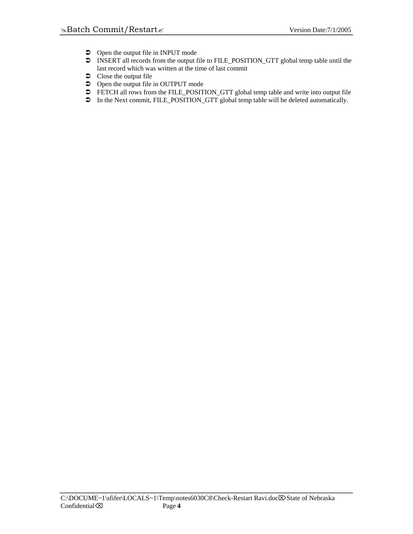- $\supset$  Open the output file in INPUT mode
- $\bullet$  INSERT all records from the output file to FILE\_POSITION\_GTT global temp table until the last record which was written at the time of last commit
- $\bullet$  Close the output file
- $\bullet$  Open the output file in OUTPUT mode
- FETCH all rows from the FILE\_POSITION\_GTT global temp table and write into output file
- $\overline{\bullet}$  In the Next commit, FILE\_POSITION\_GTT global temp table will be deleted automatically.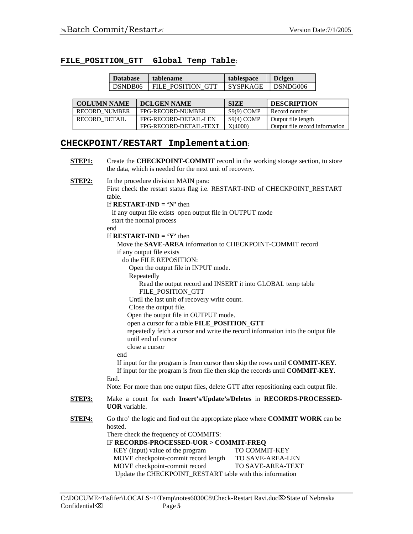#### **FILE\_POSITION\_GTT Global Temp Table**:

| <b>Database</b> | tablename         | tablespace      | <b>D</b> clgen |  |
|-----------------|-------------------|-----------------|----------------|--|
| DSNDB06         | FILE POSITION GTT | <b>SYSPKAGE</b> | DSNDG006       |  |

| <b>COLUMN NAME</b>   | <b>DCLGEN NAME</b>     | <b>SIZE</b>  | <b>DESCRIPTION</b>             |
|----------------------|------------------------|--------------|--------------------------------|
| <b>RECORD NUMBER</b> | FPG-RECORD-NUMBER      | $S9(9)$ COMP | Record number                  |
| RECORD DETAIL        | FPG-RECORD-DETAIL-LEN  | S9(4) COMP   | Output file length             |
|                      | FPG-RECORD-DETAIL-TEXT | X(4000)      | Output file record information |

#### **CHECKPOINT/RESTART Implementation**:

**STEP1:** Create the **CHECKPOINT-COMMIT** record in the working storage section, to store the data, which is needed for the next unit of recovery.

**STEP2:** In the procedure division MAIN para: First check the restart status flag i.e. RESTART-IND of CHECKPOINT\_RESTART table.

If **RESTART-IND = 'N'** then

 if any output file exists open output file in OUTPUT mode start the normal process

end

If  **then** 

 Move the **SAVE-AREA** information to CHECKPOINT-COMMIT record if any output file exists

do the FILE REPOSITION:

Open the output file in INPUT mode.

Repeatedly

 Read the output record and INSERT it into GLOBAL temp table FILE\_POSITION\_GTT

Until the last unit of recovery write count.

Close the output file.

Open the output file in OUTPUT mode.

open a cursor for a table **FILE\_POSITION\_GTT**

 repeatedly fetch a cursor and write the record information into the output file until end of cursor

close a cursor

end

 If input for the program is from cursor then skip the rows until **COMMIT-KEY**. If input for the program is from file then skip the records until **COMMIT-KEY**.

End.

Note: For more than one output files, delete GTT after repositioning each output file.

**STEP3:** Make a count for each **Insert's**/**Update's**/**Deletes** in **RECORDS-PROCESSED-UOR** variable.

**STEP4:** Go thro' the logic and find out the appropriate place where **COMMIT WORK** can be hosted.

There check the frequency of COMMITS:

IF **RECORDS-PROCESSED-UOR > COMMIT-FREQ**

| KEY (input) value of the program                          | <b>TO COMMIT-KEY</b>     |  |  |
|-----------------------------------------------------------|--------------------------|--|--|
| MOVE checkpoint-commit record length                      | <b>TO SAVE-AREA-LEN</b>  |  |  |
| MOVE checkpoint-commit record                             | <b>TO SAVE-AREA-TEXT</b> |  |  |
| Update the CHECKPOINT_RESTART table with this information |                          |  |  |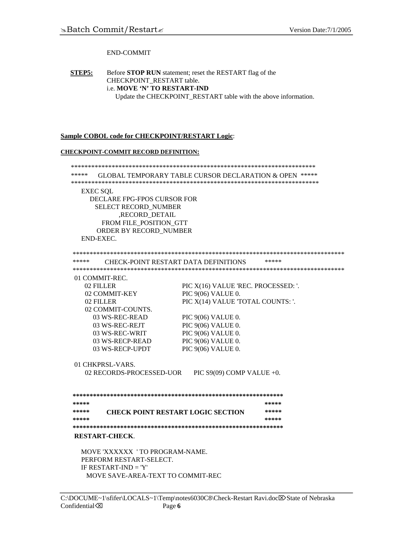#### END-COMMIT

**STEP5:** Before **STOP RUN** statement; reset the RESTART flag of the CHECKPOINT\_RESTART table. i.e. **MOVE 'N' TO RESTART-IND** Update the CHECKPOINT\_RESTART table with the above information.

#### **Sample COBOL code for CHECKPOINT/RESTART Logic**:

#### **CHECKPOINT-COMMIT RECORD DEFINITION:**

 \*\*\*\*\*\*\*\*\*\*\*\*\*\*\*\*\*\*\*\*\*\*\*\*\*\*\*\*\*\*\*\*\*\*\*\*\*\*\*\*\*\*\*\*\*\*\*\*\*\*\*\*\*\*\*\*\*\*\*\*\*\*\*\*\*\*\*\*\*\*\*\* \*\*\*\*\* GLOBAL TEMPORARY TABLE CURSOR DECLARATION & OPEN \*\*\*\*\* \*\*\*\*\*\*\*\*\*\*\*\*\*\*\*\*\*\*\*\*\*\*\*\*\*\*\*\*\*\*\*\*\*\*\*\*\*\*\*\*\*\*\*\*\*\*\*\*\*\*\*\*\*\*\*\*\*\*\*\*\*\*\*\*\*\*\*\*\*\*\*\*\* EXEC SQL DECLARE FPG-FPOS CURSOR FOR SELECT RECORD\_NUMBER ,RECORD\_DETAIL FROM FILE\_POSITION\_GTT ORDER BY RECORD\_NUMBER END-EXEC. \*\*\*\*\*\*\*\*\*\*\*\*\*\*\*\*\*\*\*\*\*\*\*\*\*\*\*\*\*\*\*\*\*\*\*\*\*\*\*\*\*\*\*\*\*\*\*\*\*\*\*\*\*\*\*\*\*\*\*\*\*\*\*\*\*\*\*\*\*\*\*\*\*\*\*\*\*\*\*\* \*\*\*\*\* CHECK-POINT RESTART DATA DEFINITIONS \*\*\*\*\* \*\*\*\*\*\*\*\*\*\*\*\*\*\*\*\*\*\*\*\*\*\*\*\*\*\*\*\*\*\*\*\*\*\*\*\*\*\*\*\*\*\*\*\*\*\*\*\*\*\*\*\*\*\*\*\*\*\*\*\*\*\*\*\*\*\*\*\*\*\*\*\*\*\*\*\*\*\*\*\* 01 COMMIT-REC. 02 FILLER  $PIC X(16)$  VALUE 'REC. PROCESSED: '. 02 COMMIT-KEY PIC 9(06) VALUE 0. 02 FILLER PIC X(14) VALUE 'TOTAL COUNTS: '. 02 COMMIT-COUNTS. 03 WS-REC-READ PIC 9(06) VALUE 0. 03 WS-REC-REJT PIC 9(06) VALUE 0. 03 WS-REC-WRIT PIC 9(06) VALUE 0. 03 WS-RECP-READ PIC 9(06) VALUE 0. 03 WS-RECP-UPDT PIC 9(06) VALUE 0. 01 CHKPRSL-VARS. 02 RECORDS-PROCESSED-UOR PIC S9(09) COMP VALUE +0. **\*\*\*\*\*\*\*\*\*\*\*\*\*\*\*\*\*\*\*\*\*\*\*\*\*\*\*\*\*\*\*\*\*\*\*\*\*\*\*\*\*\*\*\*\*\*\*\*\*\*\*\*\*\*\*\*\*\*\*\*\*\* \*\*\*\*\* \*\*\*\*\* \*\*\*\*\* CHECK POINT RESTART LOGIC SECTION \*\*\*\*\* \*\*\*\*\* \*\*\*\*\* \*\*\*\*\*\*\*\*\*\*\*\*\*\*\*\*\*\*\*\*\*\*\*\*\*\*\*\*\*\*\*\*\*\*\*\*\*\*\*\*\*\*\*\*\*\*\*\*\*\*\*\*\*\*\*\*\*\*\*\*\*\* RESTART-CHECK**. MOVE 'XXXXXX ' TO PROGRAM-NAME. PERFORM RESTART-SELECT. IF RESTART-IND = 'Y' MOVE SAVE-AREA-TEXT TO COMMIT-REC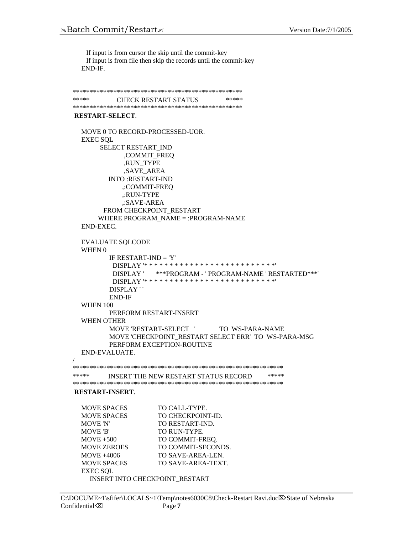If input is from cursor the skip until the commit-key If input is from file then skip the records until the commit-key END-IF.

```
************************************************** 
***** CHECK RESTART STATUS *****
************************************************** 
RESTART-SELECT. 
  MOVE 0 TO RECORD-PROCESSED-UOR. 
  EXEC SOL
       SELECT RESTART_IND 
             ,COMMIT_FREQ 
             ,RUN_TYPE 
             ,SAVE_AREA 
         INTO :RESTART-IND 
             ,:COMMIT-FREQ 
            ,:RUN-TYPE 
             ,:SAVE-AREA 
       FROM CHECKPOINT_RESTART 
       WHERE PROGRAM_NAME = :PROGRAM-NAME 
  END-EXEC. 
  EVALUATE SQLCODE 
   WHEN 0 
         IF RESTART-IND = 'Y' DISPLAY '* * * * * * * * * * * * * * * * * * * * * * * * * *'
           DISPLAY ' ***PROGRAM - ' PROGRAM-NAME ' RESTARTED***'
           DISPLAY '* * * * * * * * * * * * * * * * * * * * * * * * * *' 
         DISPLAY ' '
         END-IF 
   WHEN 100 
         PERFORM RESTART-INSERT 
   WHEN OTHER 
         MOVE 'RESTART-SELECT ' TO WS-PARA-NAME
         MOVE 'CHECKPOINT RESTART SELECT ERR' TO WS-PARA-MSG
         PERFORM EXCEPTION-ROUTINE 
  END-EVALUATE. 
/ 
************************************************************** 
***** INSERT THE NEW RESTART STATUS RECORD ***** 
************************************************************** 
RESTART-INSERT. 
  MOVE SPACES TO CALL-TYPE.
  MOVE SPACES TO CHECKPOINT-ID.
  MOVE 'N' TO RESTART-IND.
 MOVE 'B' TO RUN-TYPE.
  MOVE +500 TO COMMIT-FREQ.
 MOVE ZEROES TO COMMIT-SECONDS.
  MOVE +4006 TO SAVE-AREA-LEN.
  MOVE SPACES TO SAVE-AREA-TEXT.
 EXEC SQL 
    INSERT INTO CHECKPOINT_RESTART
```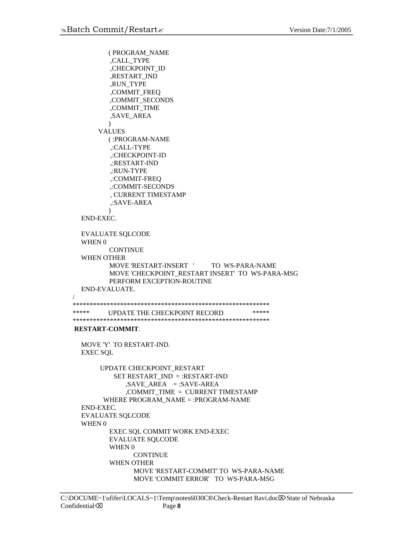/

```
( PROGRAM_NAME 
          ,CALL_TYPE 
          ,CHECKPOINT_ID 
          ,RESTART_IND 
          ,RUN_TYPE 
          ,COMMIT_FREQ 
           ,COMMIT_SECONDS 
          ,COMMIT_TIME 
          ,SAVE_AREA 
         \lambdaVALUES 
         ( :PROGRAM-NAME 
          ,:CALL-TYPE 
          ,:CHECKPOINT-ID 
          ,:RESTART-IND 
          ,:RUN-TYPE 
          ,:COMMIT-FREQ 
           ,:COMMIT-SECONDS 
          , CURRENT TIMESTAMP 
          ,:SAVE-AREA 
         ) 
  END-EXEC. 
  EVALUATE SQLCODE 
   WHEN 0 
         CONTINUE 
   WHEN OTHER 
         MOVE 'RESTART-INSERT ' TO WS-PARA-NAME 
         MOVE 'CHECKPOINT_RESTART INSERT' TO WS-PARA-MSG 
         PERFORM EXCEPTION-ROUTINE 
  END-EVALUATE. 
********************************************************** 
***** UPDATE THE CHECKPOINT RECORD *****
********************************************************** 
RESTART-COMMIT. 
   MOVE 'Y' TO RESTART-IND. 
  EXEC SQL 
       UPDATE CHECKPOINT_RESTART 
          SET RESTART_IND = :RESTART-IND 
              ,SAVE AREA = :SAVE-AREA
              ,COMMIT_TIME = CURRENT TIMESTAMP 
         WHERE PROGRAM_NAME = :PROGRAM-NAME 
  END-EXEC. 
  EVALUATE SQLCODE 
   WHEN 0 
         EXEC SQL COMMIT WORK END-EXEC 
         EVALUATE SQLCODE 
         WHEN 0 
                CONTINUE
         WHEN OTHER 
                MOVE 'RESTART-COMMIT' TO WS-PARA-NAME 
                MOVE 'COMMIT ERROR' TO WS-PARA-MSG
```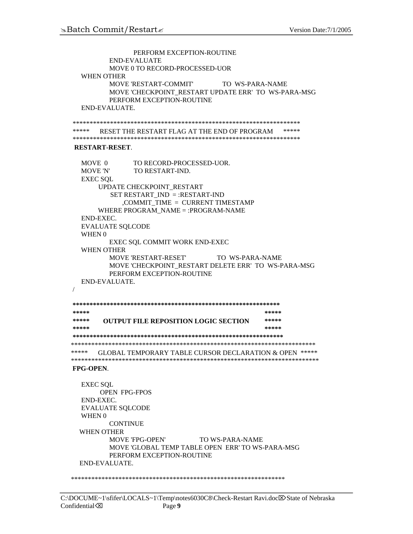```
PERFORM EXCEPTION-ROUTINE 
         END-EVALUATE 
         MOVE 0 TO RECORD-PROCESSED-UOR 
   WHEN OTHER 
         MOVE 'RESTART-COMMIT' TO WS-PARA-NAME 
         MOVE 'CHECKPOINT_RESTART UPDATE ERR' TO WS-PARA-MSG 
         PERFORM EXCEPTION-ROUTINE 
  END-EVALUATE. 
******************************************************************* 
***** RESET THE RESTART FLAG AT THE END OF PROGRAM ***** 
******************************************************************* 
RESTART-RESET. 
  MOVE 0 TO RECORD-PROCESSED-UOR.
   MOVE 'N' TO RESTART-IND. 
  EXEC SQL 
      UPDATE CHECKPOINT_RESTART 
         SET RESTART_IND = :RESTART-IND 
             ,COMMIT_TIME = CURRENT TIMESTAMP 
       WHERE PROGRAM_NAME = :PROGRAM-NAME 
  END-EXEC. 
  EVALUATE SQLCODE 
   WHEN 0 
         EXEC SQL COMMIT WORK END-EXEC 
   WHEN OTHER 
         MOVE 'RESTART-RESET' TO WS-PARA-NAME 
         MOVE 'CHECKPOINT_RESTART DELETE ERR' TO WS-PARA-MSG 
         PERFORM EXCEPTION-ROUTINE 
  END-EVALUATE. 
/ 
************************************************************* 
***** ***** 
***** OUTPUT FILE REPOSITION LOGIC SECTION ***** 
***** ***** 
**************************************************************
 ************************************************************************ 
***** GLOBAL TEMPORARY TABLE CURSOR DECLARATION & OPEN ***** 
************************************************************************* 
FPG-OPEN. 
  EXEC SQL 
       OPEN FPG-FPOS 
  END-EXEC. 
  EVALUATE SQLCODE 
   WHEN 0 
         CONTINUE 
   WHEN OTHER 
         MOVE 'FPG-OPEN' TO WS-PARA-NAME 
         MOVE 'GLOBAL TEMP TABLE OPEN ERR' TO WS-PARA-MSG 
         PERFORM EXCEPTION-ROUTINE 
  END-EVALUATE. 
***************************************************************
```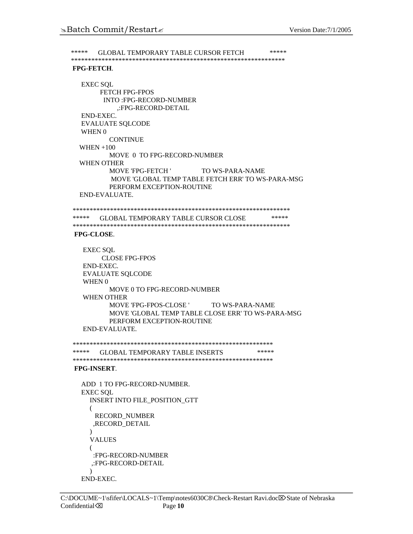```
***** GLOBAL TEMPORARY TABLE CURSOR FETCH *****
*************************************************************** 
FPG-FETCH. 
  EXEC SQL 
       FETCH FPG-FPOS 
        INTO :FPG-RECORD-NUMBER 
            ,:FPG-RECORD-DETAIL 
  END-EXEC. 
  EVALUATE SQLCODE 
   WHEN 0 
          CONTINUE
   WHEN +100 
          MOVE 0 TO FPG-RECORD-NUMBER 
   WHEN OTHER 
          MOVE 'FPG-FETCH ' TO WS-PARA-NAME 
           MOVE 'GLOBAL TEMP TABLE FETCH ERR' TO WS-PARA-MSG 
          PERFORM EXCEPTION-ROUTINE 
  END-EVALUATE. 
**************************************************************** 
***** GLOBAL TEMPORARY TABLE CURSOR CLOSE *****
**************************************************************** 
FPG-CLOSE. 
   EXEC SQL 
        CLOSE FPG-FPOS 
   END-EXEC. 
   EVALUATE SQLCODE 
    WHEN 0 
          MOVE 0 TO FPG-RECORD-NUMBER 
    WHEN OTHER 
          MOVE 'FPG-FPOS-CLOSE ' TO WS-PARA-NAME 
          MOVE 'GLOBAL TEMP TABLE CLOSE ERR' TO WS-PARA-MSG 
          PERFORM EXCEPTION-ROUTINE 
   END-EVALUATE. 
*********************************************************** 
***** GLOBAL TEMPORARY TABLE INSERTS *****
*********************************************************** 
FPG-INSERT. 
  ADD 1 TO FPG-RECORD-NUMBER. 
  EXEC SQL 
     INSERT INTO FILE_POSITION_GTT 
     ( 
      RECORD_NUMBER 
      ,RECORD_DETAIL 
     ) 
     VALUES 
     ( 
     :FPG-RECORD-NUMBER 
     ,:FPG-RECORD-DETAIL 
     \lambdaEND-EXEC.
```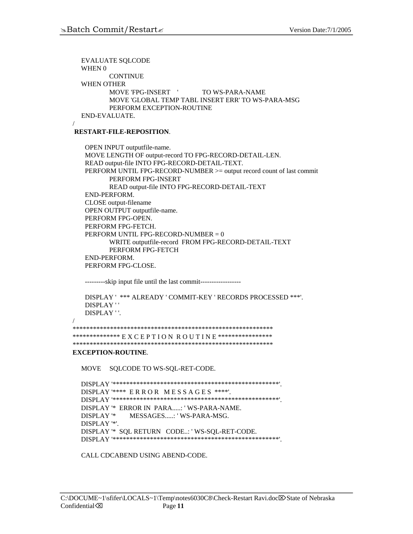EVALUATE SQLCODE WHEN 0 **CONTINUE**  WHEN OTHER MOVE 'FPG-INSERT ' TO WS-PARA-NAME MOVE 'GLOBAL TEMP TABL INSERT ERR' TO WS-PARA-MSG PERFORM EXCEPTION-ROUTINE END-EVALUATE.

**RESTART-FILE-REPOSITION**.

OPEN INPUT outputfile-name. MOVE LENGTH OF output-record TO FPG-RECORD-DETAIL-LEN. READ output-file INTO FPG-RECORD-DETAIL-TEXT. PERFORM UNTIL FPG-RECORD-NUMBER >= output record count of last commit PERFORM FPG-INSERT READ output-file INTO FPG-RECORD-DETAIL-TEXT END-PERFORM. CLOSE output-filename OPEN OUTPUT outputfile-name. PERFORM FPG-OPEN. PERFORM FPG-FETCH. PERFORM UNTIL FPG-RECORD-NUMBER = 0 WRITE outputfile-record FROM FPG-RECORD-DETAIL-TEXT PERFORM FPG-FETCH END-PERFORM. PERFORM FPG-CLOSE.

---------skip input file until the last commit------------------

```
DISPLAY ' *** ALREADY ' COMMIT-KEY ' RECORDS PROCESSED ***'. 
DISPLAY ' '
DISPLAY ' '.
```

```
 /
```
/

```
*********************************************************** 
*************** E X C E P T I O N R O U T I N E *****************
***********************************************************
```
#### **EXCEPTION-ROUTINE**.

MOVE SQLCODE TO WS-SQL-RET-CODE.

 DISPLAY '\*\*\*\*\*\*\*\*\*\*\*\*\*\*\*\*\*\*\*\*\*\*\*\*\*\*\*\*\*\*\*\*\*\*\*\*\*\*\*\*\*\*\*\*\*\*\*\*\*'. DISPLAY '\*\*\*\* E R R O R M E S S A G E S \*\*\*\*'. DISPLAY '\*\*\*\*\*\*\*\*\*\*\*\*\*\*\*\*\*\*\*\*\*\*\*\*\*\*\*\*\*\*\*\*\*\*\*\*\*\*\*\*\*\*\*\*\*\*\*\*\*'. DISPLAY '\* ERROR IN PARA.....: ' WS-PARA-NAME. DISPLAY '\* MESSAGES.....: ' WS-PARA-MSG. DISPLAY '\*'. DISPLAY '\* SQL RETURN CODE..: ' WS-SQL-RET-CODE. DISPLAY '\*\*\*\*\*\*\*\*\*\*\*\*\*\*\*\*\*\*\*\*\*\*\*\*\*\*\*\*\*\*\*\*\*\*\*\*\*\*\*\*\*\*\*\*\*\*\*\*\*'.

CALL CDCABEND USING ABEND-CODE.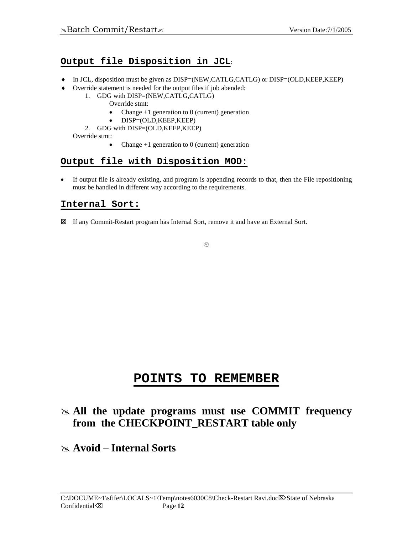## **Output file Disposition in JCL**:

- ♦ In JCL, disposition must be given as DISP=(NEW,CATLG,CATLG) or DISP=(OLD,KEEP,KEEP)
- ♦ Override statement is needed for the output files if job abended:
	- 1. GDG with DISP=(NEW,CATLG,CATLG)
		- Override stmt:
			- Change  $+1$  generation to 0 (current) generation
			- DISP=(OLD,KEEP,KEEP)
		- 2. GDG with DISP=(OLD,KEEP,KEEP)

Override stmt:

• Change  $+1$  generation to 0 (current) generation

### **Output file with Disposition MOD:**

• If output file is already existing, and program is appending records to that, then the File repositioning must be handled in different way according to the requirements.

## **Internal Sort:**

: If any Commit-Restart program has Internal Sort, remove it and have an External Sort.

 $\circledS$ 

# **POINTS TO REMEMBER**

## # **All the update programs must use COMMIT frequency from the CHECKPOINT\_RESTART table only**

## # **Avoid – Internal Sorts**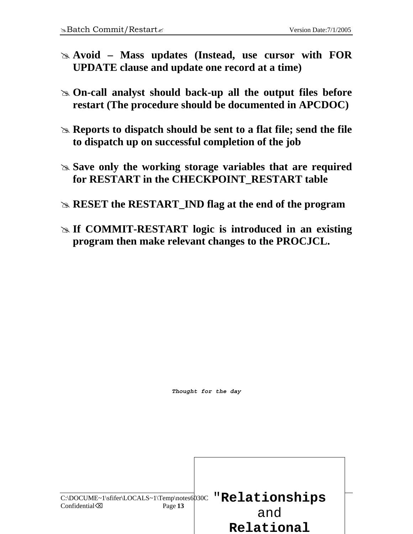- # **Avoid Mass updates (Instead, use cursor with FOR UPDATE clause and update one record at a time)**
- # **On-call analyst should back-up all the output files before restart (The procedure should be documented in APCDOC)**
- **Example 3 Reports to dispatch should be sent to a flat file; send the file to dispatch up on successful completion of the job**
- # **Save only the working storage variables that are required for RESTART in the CHECKPOINT\_RESTART table**
- # **RESET the RESTART\_IND flag at the end of the program**
- **Example 13 If COMMIT-RESTART logic is introduced in an existing program then make relevant changes to the PROCJCL.**

*Thought for the day* 

C:\DOCUME~1\sfifer\LOCALS~1\Temp\notes6030C **"Relationships** Confidential<sup> $\otimes$ </sup> Page 13 and **Relational**